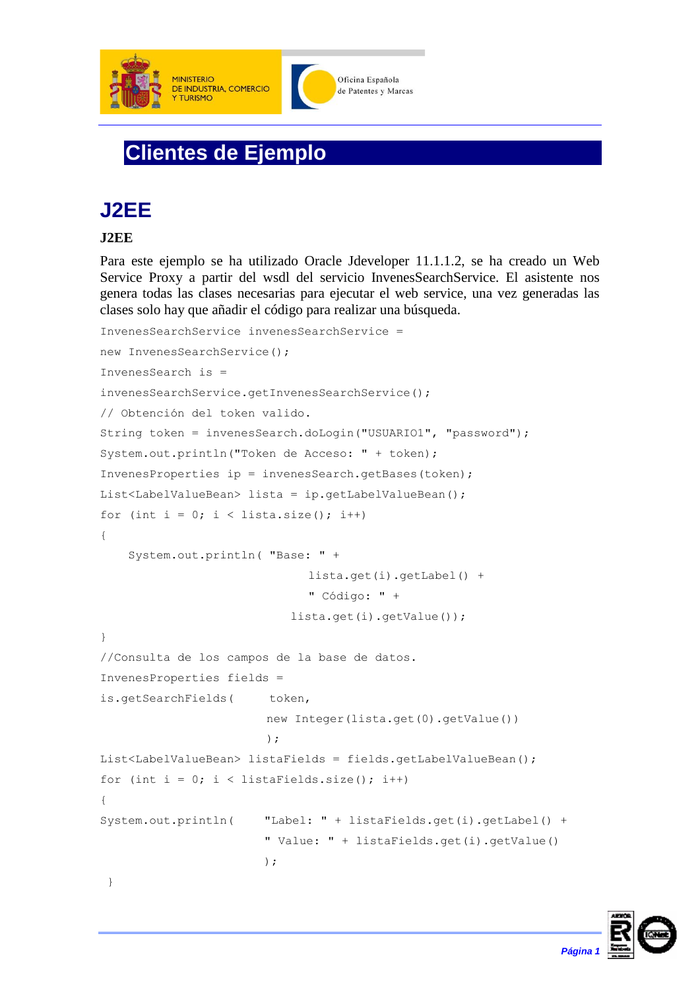

# **Clientes de Ejemplo**

### **J2EE**

#### **J2EE**

Para este ejemplo se ha utilizado Oracle Jdeveloper 11.1.1.2, se ha creado un Web Service Proxy a partir del wsdl del servicio InvenesSearchService. El asistente nos genera todas las clases necesarias para ejecutar el web service, una vez generadas las clases solo hay que añadir el código para realizar una búsqueda.

```
InvenesSearchService invenesSearchService = 
new InvenesSearchService();
InvenesSearch is = 
invenesSearchService.getInvenesSearchService();
// Obtención del token valido. 
String token = invenesSearch.doLogin("USUARIO1", "password");
System.out.println("Token de Acceso: " + token);
InvenesProperties ip = invenesSearch.getBases(token);
List<LabelValueBean> lista = ip.getLabelValueBean();
for (int i = 0; i < lista.size(); i++)
{
     System.out.println( "Base: " + 
                              lista.get(i).getLabel() + 
                              " Código: " +
                            lista.get(i).getValue());
}
//Consulta de los campos de la base de datos.
InvenesProperties fields = 
is.getSearchFields( token,
                        new Integer(lista.get(0).getValue())
                        );
List<LabelValueBean> listaFields = fields.getLabelValueBean();
for (int i = 0; i < listaFields.size(); i++)
{
System.out.println( "Label: " + listaFields.get(i).getLabel() +
                       " Value: " + listaFields.get(i).getValue()
                       );
 }
```
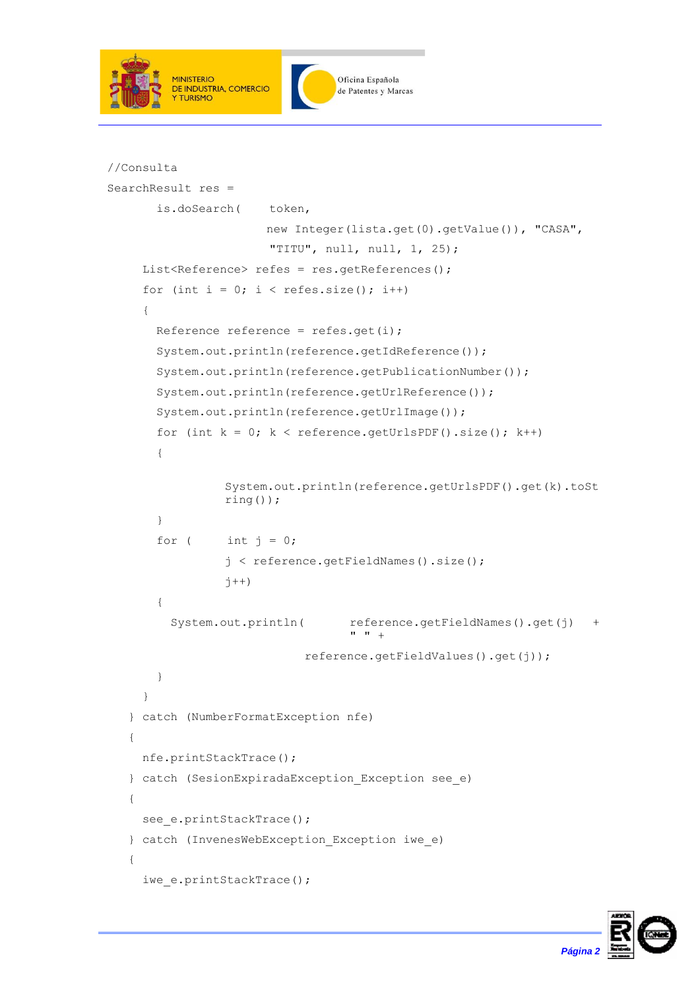



```
//Consulta
SearchResult res =
         is.doSearch( token, 
                         new Integer(lista.get(0).getValue()), "CASA",
                           "TITU", null, null, 1, 25);
       List<Reference> refes = res.getReferences();
      for (int i = 0; i < refes.size(); i++)
       {
        Reference reference = refes.get(i);
         System.out.println(reference.getIdReference());
         System.out.println(reference.getPublicationNumber());
         System.out.println(reference.getUrlReference());
         System.out.println(reference.getUrlImage());
        for (int k = 0; k < reference.getUrlsPDF().size(); k++)
         {
                   System.out.println(reference.getUrlsPDF().get(k).toSt
                   ring());
         }
        for ( int j = 0;
                   j < reference.getFieldNames().size(); 
                   j++)\{System.out.println( reference.getFieldNames().get(j) +
                                      \mathbf{u} \mathbf{u} + reference.getFieldValues().get(j));
         }
       }
     } catch (NumberFormatException nfe)
     {
       nfe.printStackTrace();
     } catch (SesionExpiradaException_Exception see_e)
     {
      see e.printStackTrace();
     } catch (InvenesWebException_Exception iwe_e)
\left\{\begin{array}{ccc} & & \\ & & \end{array}\right\}iwe_e.printStackTrace();
```
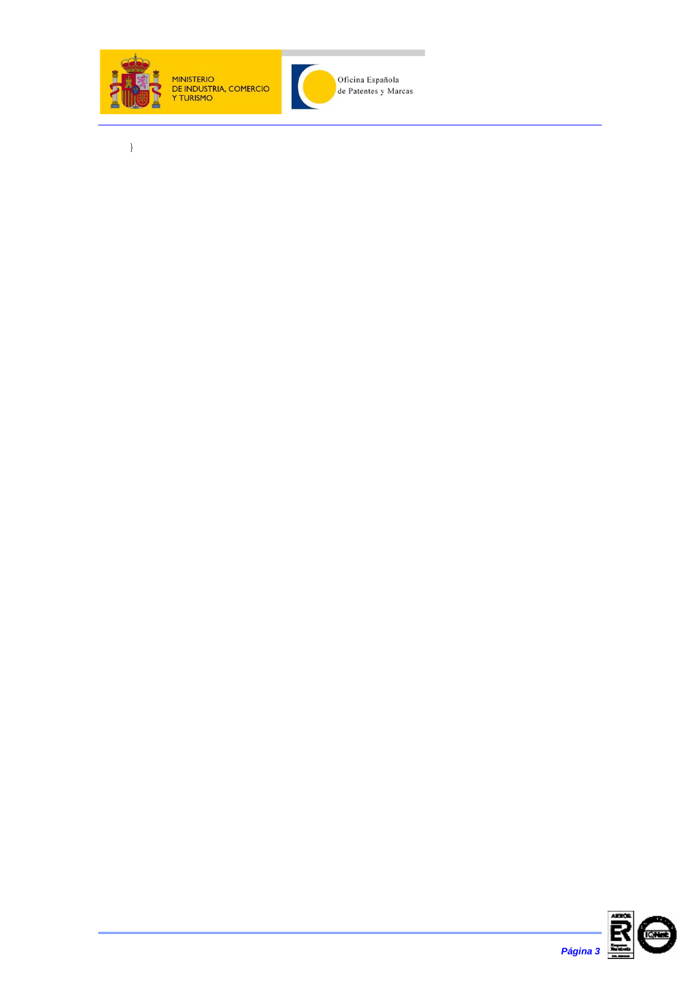

MINISTERIO<br>DE INDUSTRIA, COMERCIO<br>Y TURISMO



Oficina Española<br>de Patentes y Marcas

}

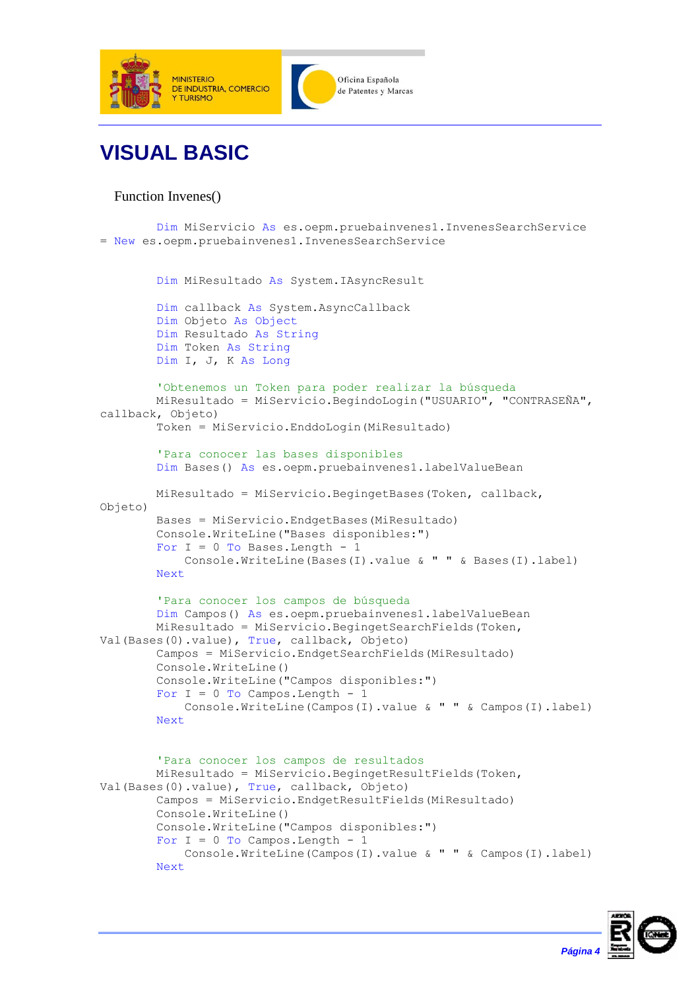

## **VISUAL BASIC**

#### Function Invenes()

Next

```
 Dim MiServicio As es.oepm.pruebainvenes1.InvenesSearchService 
= New es.oepm.pruebainvenes1.InvenesSearchService
         Dim MiResultado As System.IAsyncResult
         Dim callback As System.AsyncCallback
         Dim Objeto As Object
         Dim Resultado As String
         Dim Token As String
         Dim I, J, K As Long
         'Obtenemos un Token para poder realizar la búsqueda
         MiResultado = MiServicio.BegindoLogin("USUARIO", "CONTRASEÑA", 
callback, Objeto)
         Token = MiServicio.EnddoLogin(MiResultado)
         'Para conocer las bases disponibles
         Dim Bases() As es.oepm.pruebainvenes1.labelValueBean
         MiResultado = MiServicio.BegingetBases(Token, callback, 
Objeto)
         Bases = MiServicio.EndgetBases(MiResultado)
         Console.WriteLine("Bases disponibles:")
        For I = 0 To Bases. Length - 1
             Console.WriteLine(Bases(I).value & " " & Bases(I).label)
         Next
         'Para conocer los campos de búsqueda
         Dim Campos() As es.oepm.pruebainvenes1.labelValueBean
         MiResultado = MiServicio.BegingetSearchFields(Token, 
Val(Bases(0).value), True, callback, Objeto)
         Campos = MiServicio.EndgetSearchFields(MiResultado)
         Console.WriteLine()
         Console.WriteLine("Campos disponibles:")
        For I = 0 To Campos. Length - 1
             Console.WriteLine(Campos(I).value & " " & Campos(I).label)
         Next
         'Para conocer los campos de resultados
         MiResultado = MiServicio.BegingetResultFields(Token, 
Val(Bases(0).value), True, callback, Objeto)
         Campos = MiServicio.EndgetResultFields(MiResultado)
         Console.WriteLine()
         Console.WriteLine("Campos disponibles:")
        For I = 0 To Campos. Length - 1
             Console.WriteLine(Campos(I).value & " " & Campos(I).label)
```
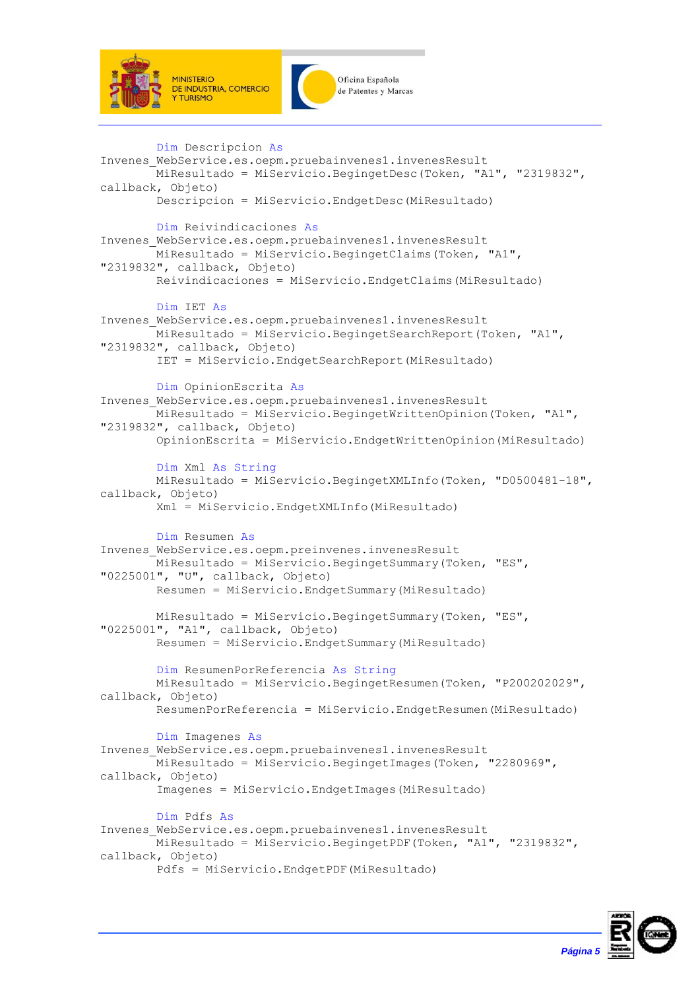

**MINISTERIO** DE INDUSTRIA, COMERCIO **Y TURISMO** 



Oficina Española de Patentes y Marcas

 Dim Descripcion As Invenes\_WebService.es.oepm.pruebainvenes1.invenesResult -<br>MiResultado = MiServicio.BegingetDesc(Token, "A1", "2319832", callback, Objeto) Descripcion = MiServicio.EndgetDesc(MiResultado) Dim Reivindicaciones As Invenes\_WebService.es.oepm.pruebainvenes1.invenesResult MiResultado = MiServicio.BegingetClaims(Token, "A1", "2319832", callback, Objeto) Reivindicaciones = MiServicio.EndgetClaims(MiResultado) Dim IET As Invenes\_WebService.es.oepm.pruebainvenes1.invenesResult MiResultado = MiServicio.BegingetSearchReport(Token, "A1", "2319832", callback, Objeto) IET = MiServicio.EndgetSearchReport(MiResultado) Dim OpinionEscrita As Invenes\_WebService.es.oepm.pruebainvenes1.invenesResult MiResultado = MiServicio.BegingetWrittenOpinion(Token, "A1", "2319832", callback, Objeto) OpinionEscrita = MiServicio.EndgetWrittenOpinion(MiResultado) Dim Xml As String MiResultado = MiServicio.BegingetXMLInfo(Token, "D0500481-18", callback, Objeto) Xml = MiServicio.EndgetXMLInfo(MiResultado) Dim Resumen As Invenes\_WebService.es.oepm.preinvenes.invenesResult MiResultado = MiServicio.BegingetSummary(Token, "ES", "0225001", "U", callback, Objeto) Resumen = MiServicio.EndgetSummary(MiResultado) MiResultado = MiServicio.BegingetSummary(Token, "ES", "0225001", "A1", callback, Objeto) Resumen = MiServicio.EndgetSummary(MiResultado) Dim ResumenPorReferencia As String MiResultado = MiServicio.BegingetResumen(Token, "P200202029", callback, Objeto) ResumenPorReferencia = MiServicio.EndgetResumen(MiResultado) Dim Imagenes As Invenes\_WebService.es.oepm.pruebainvenes1.invenesResult MiResultado = MiServicio.BegingetImages(Token, "2280969", callback, Objeto) Imagenes = MiServicio.EndgetImages(MiResultado) Dim Pdfs As Invenes\_WebService.es.oepm.pruebainvenes1.invenesResult MiResultado = MiServicio.BegingetPDF(Token, "A1", "2319832", callback, Objeto) Pdfs = MiServicio.EndgetPDF(MiResultado)